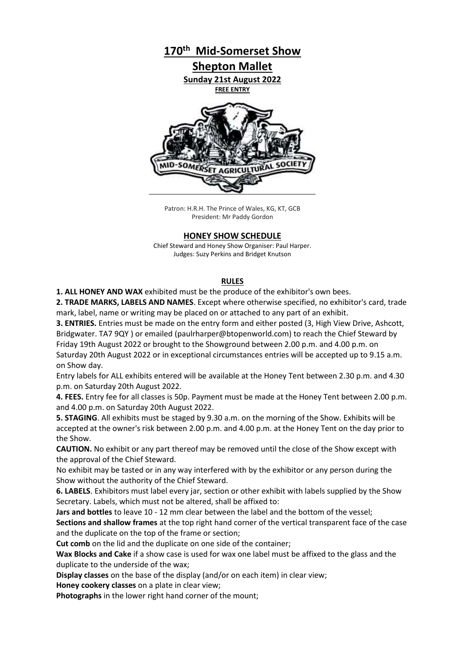

Patron: H.R.H. The Prince of Wales, KG, KT, GCB President: Mr Paddy Gordon

# **HONEY SHOW SCHEDULE**

Chief Steward and Honey Show Organiser: Paul Harper. Judges: Suzy Perkins and Bridget Knutson

## **RULES**

**1. ALL HONEY AND WAX** exhibited must be the produce of the exhibitor's own bees.

**2. TRADE MARKS, LABELS AND NAMES**. Except where otherwise specified, no exhibitor's card, trade mark, label, name or writing may be placed on or attached to any part of an exhibit.

**3. ENTRIES.** Entries must be made on the entry form and either posted (3, High View Drive, Ashcott, Bridgwater. TA7 9QY ) or emailed (paulrharper@btopenworld.com) to reach the Chief Steward by Friday 19th August 2022 or brought to the Showground between 2.00 p.m. and 4.00 p.m. on Saturday 20th August 2022 or in exceptional circumstances entries will be accepted up to 9.15 a.m. on Show day.

Entry labels for ALL exhibits entered will be available at the Honey Tent between 2.30 p.m. and 4.30 p.m. on Saturday 20th August 2022.

**4. FEES.** Entry fee for all classes is 50p. Payment must be made at the Honey Tent between 2.00 p.m. and 4.00 p.m. on Saturday 20th August 2022.

**5. STAGING**. All exhibits must be staged by 9.30 a.m. on the morning of the Show. Exhibits will be accepted at the owner's risk between 2.00 p.m. and 4.00 p.m. at the Honey Tent on the day prior to the Show.

**CAUTION.** No exhibit or any part thereof may be removed until the close of the Show except with the approval of the Chief Steward.

No exhibit may be tasted or in any way interfered with by the exhibitor or any person during the Show without the authority of the Chief Steward.

**6. LABELS**. Exhibitors must label every jar, section or other exhibit with labels supplied by the Show Secretary. Labels, which must not be altered, shall be affixed to:

**Jars and bottles** to leave 10 - 12 mm clear between the label and the bottom of the vessel;

**Sections and shallow frames** at the top right hand corner of the vertical transparent face of the case and the duplicate on the top of the frame or section;

**Cut comb** on the lid and the duplicate on one side of the container;

**Wax Blocks and Cake** if a show case is used for wax one label must be affixed to the glass and the duplicate to the underside of the wax;

**Display classes** on the base of the display (and/or on each item) in clear view;

**Honey cookery classes** on a plate in clear view;

**Photographs** in the lower right hand corner of the mount;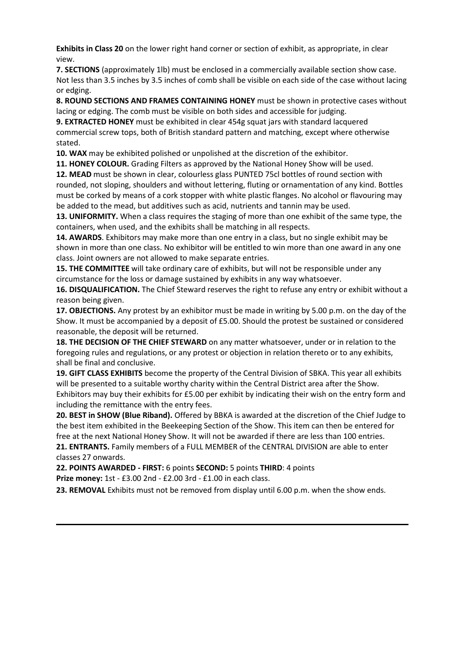**Exhibits in Class 20** on the lower right hand corner or section of exhibit, as appropriate, in clear view.

**7. SECTIONS** (approximately 1lb) must be enclosed in a commercially available section show case. Not less than 3.5 inches by 3.5 inches of comb shall be visible on each side of the case without lacing or edging.

**8. ROUND SECTIONS AND FRAMES CONTAINING HONEY** must be shown in protective cases without lacing or edging. The comb must be visible on both sides and accessible for judging.

**9. EXTRACTED HONEY** must be exhibited in clear 454g squat jars with standard lacquered commercial screw tops, both of British standard pattern and matching, except where otherwise stated.

**10. WAX** may be exhibited polished or unpolished at the discretion of the exhibitor.

**11. HONEY COLOUR.** Grading Filters as approved by the National Honey Show will be used.

**12. MEAD** must be shown in clear, colourless glass PUNTED 75cl bottles of round section with rounded, not sloping, shoulders and without lettering, fluting or ornamentation of any kind. Bottles must be corked by means of a cork stopper with white plastic flanges. No alcohol or flavouring may be added to the mead, but additives such as acid, nutrients and tannin may be used.

**13. UNIFORMITY.** When a class requires the staging of more than one exhibit of the same type, the containers, when used, and the exhibits shall be matching in all respects.

**14. AWARDS**. Exhibitors may make more than one entry in a class, but no single exhibit may be shown in more than one class. No exhibitor will be entitled to win more than one award in any one class. Joint owners are not allowed to make separate entries.

**15. THE COMMITTEE** will take ordinary care of exhibits, but will not be responsible under any circumstance for the loss or damage sustained by exhibits in any way whatsoever.

**16. DISQUALIFICATION.** The Chief Steward reserves the right to refuse any entry or exhibit without a reason being given.

**17. OBJECTIONS.** Any protest by an exhibitor must be made in writing by 5.00 p.m. on the day of the Show. It must be accompanied by a deposit of £5.00. Should the protest be sustained or considered reasonable, the deposit will be returned.

**18. THE DECISION OF THE CHIEF STEWARD** on any matter whatsoever, under or in relation to the foregoing rules and regulations, or any protest or objection in relation thereto or to any exhibits, shall be final and conclusive.

**19. GIFT CLASS EXHIBITS** become the property of the Central Division of SBKA. This year all exhibits will be presented to a suitable worthy charity within the Central District area after the Show. Exhibitors may buy their exhibits for £5.00 per exhibit by indicating their wish on the entry form and including the remittance with the entry fees.

**20. BEST in SHOW (Blue Riband).** Offered by BBKA is awarded at the discretion of the Chief Judge to the best item exhibited in the Beekeeping Section of the Show. This item can then be entered for free at the next National Honey Show. It will not be awarded if there are less than 100 entries.

**21. ENTRANTS.** Family members of a FULL MEMBER of the CENTRAL DIVISION are able to enter classes 27 onwards.

**22. POINTS AWARDED - FIRST:** 6 points **SECOND:** 5 points **THIRD**: 4 points

**Prize money:** 1st - £3.00 2nd - £2.00 3rd - £1.00 in each class.

**23. REMOVAL** Exhibits must not be removed from display until 6.00 p.m. when the show ends.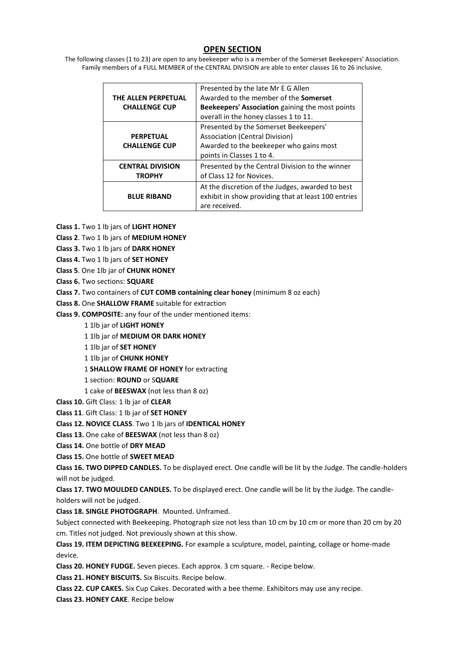# **OPEN SECTION**

The following classes (1 to 23) are open to any beekeeper who is a member of the Somerset Beekeepers' Association. Family members of a FULL MEMBER of the CENTRAL DIVISION are able to enter classes 16 to 26 inclusive.

| THE ALLEN PERPETUAL<br><b>CHALLENGE CUP</b> | Presented by the late Mr E G Allen<br>Awarded to the member of the <b>Somerset</b><br>Beekeepers' Association gaining the most points<br>overall in the honey classes 1 to 11. |  |
|---------------------------------------------|--------------------------------------------------------------------------------------------------------------------------------------------------------------------------------|--|
| <b>PERPETUAL</b><br><b>CHALLENGE CUP</b>    | Presented by the Somerset Beekeepers'<br>Association (Central Division)<br>Awarded to the beekeeper who gains most<br>points in Classes 1 to 4.                                |  |
| <b>CENTRAL DIVISION</b><br><b>TROPHY</b>    | Presented by the Central Division to the winner<br>of Class 12 for Novices.                                                                                                    |  |
| <b>BLUE RIBAND</b>                          | At the discretion of the Judges, awarded to best<br>exhibit in show providing that at least 100 entries<br>are received.                                                       |  |

**Class 1.** Two 1 lb jars of **LIGHT HONEY**

**Class 2**. Two 1 lb jars of **MEDIUM HONEY**

**Class 3.** Two 1 lb jars of **DARK HONEY**

**Class 4.** Two 1 lb jars of **SET HONEY**

**Class 5**. One 1lb jar of **CHUNK HONEY**

**Class 6.** Two sections: **SQUARE**

**Class 7.** Two containers of **CUT COMB containing clear honey** (minimum 8 oz each)

**Class 8.** One **SHALLOW FRAME** suitable for extraction

**Class 9. COMPOSITE:** any four of the under mentioned items:

1 1lb jar of **LIGHT HONEY**

1 1lb jar of **MEDIUM OR DARK HONEY**

1 1lb jar of **SET HONEY**

1 1lb jar of **CHUNK HONEY**

1 **SHALLOW FRAME OF HONEY** for extracting

1 section: **ROUND** or S**QUARE**

1 cake of **BEESWAX** (not less than 8 oz)

**Class 10.** Gift Class: 1 lb jar of **CLEAR**

**Class 11**. Gift Class: 1 lb jar of **SET HONEY**

**Class 12. NOVICE CLASS**. Two 1 lb jars of **IDENTICAL HONEY**

**Class 13.** One cake of **BEESWAX** (not less than 8 oz)

**Class 14.** One bottle of **DRY MEAD**

**Class 15.** One bottle of **SWEET MEAD**

**Class 16. TWO DIPPED CANDLES.** To be displayed erect. One candle will be lit by the Judge. The candle-holders will not be judged.

**Class 17. TWO MOULDED CANDLES.** To be displayed erect. One candle will be lit by the Judge. The candleholders will not be judged.

**Class 18. SINGLE PHOTOGRAPH**. Mounted. Unframed.

Subject connected with Beekeeping. Photograph size not less than 10 cm by 10 cm or more than 20 cm by 20 cm. Titles not judged. Not previously shown at this show.

**Class 19. ITEM DEPICTING BEEKEEPING.** For example a sculpture, model, painting, collage or home-made device.

**Class 20. HONEY FUDGE.** Seven pieces. Each approx. 3 cm square. - Recipe below.

**Class 21. HONEY BISCUITS.** Six Biscuits. Recipe below.

**Class 22. CUP CAKES.** Six Cup Cakes. Decorated with a bee theme. Exhibitors may use any recipe.

**Class 23. HONEY CAKE**. Recipe below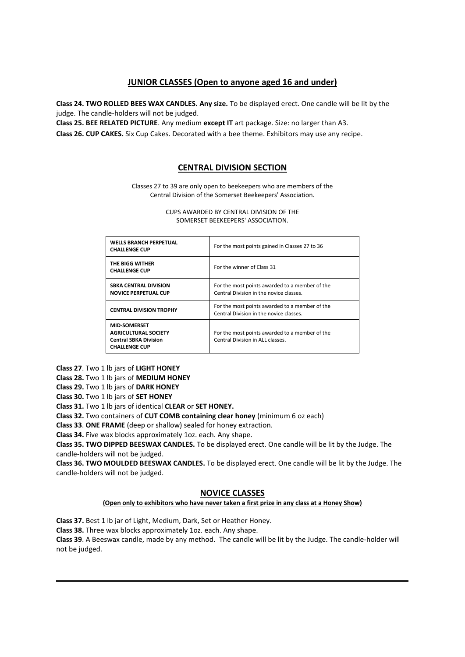# **JUNIOR CLASSES (Open to anyone aged 16 and under)**

**Class 24. TWO ROLLED BEES WAX CANDLES. Any size.** To be displayed erect. One candle will be lit by the judge. The candle-holders will not be judged.

**Class 25. BEE RELATED PICTURE**. Any medium **except IT** art package. Size: no larger than A3.

**Class 26. CUP CAKES.** Six Cup Cakes. Decorated with a bee theme. Exhibitors may use any recipe.

# **CENTRAL DIVISION SECTION**

Classes 27 to 39 are only open to beekeepers who are members of the Central Division of the Somerset Beekeepers' Association.

> CUPS AWARDED BY CENTRAL DIVISION OF THE SOMERSET BEEKEEPERS' ASSOCIATION.

| <b>WELLS BRANCH PERPETUAL</b><br><b>CHALLENGE CUP</b>                                                      | For the most points gained in Classes 27 to 36<br>For the winner of Class 31              |  |  |
|------------------------------------------------------------------------------------------------------------|-------------------------------------------------------------------------------------------|--|--|
| THE BIGG WITHER<br><b>CHALLENGE CUP</b>                                                                    |                                                                                           |  |  |
| <b>SBKA CENTRAL DIVISION</b><br><b>NOVICE PERPETUAL CUP</b>                                                | For the most points awarded to a member of the<br>Central Division in the novice classes. |  |  |
| <b>CENTRAL DIVISION TROPHY</b>                                                                             | For the most points awarded to a member of the<br>Central Division in the novice classes. |  |  |
| <b>MID-SOMERSET</b><br><b>AGRICULTURAL SOCIETY</b><br><b>Central SBKA Division</b><br><b>CHALLENGE CUP</b> | For the most points awarded to a member of the<br>Central Division in ALL classes.        |  |  |

**Class 27**. Two 1 lb jars of **LIGHT HONEY**

**Class 28.** Two 1 lb jars of **MEDIUM HONEY**

**Class 29.** Two 1 lb jars of **DARK HONEY**

**Class 30.** Two 1 lb jars of **SET HONEY**

**Class 31.** Two 1 lb jars of identical **CLEAR** or **SET HONEY.**

**Class 32.** Two containers of **CUT COMB containing clear honey** (minimum 6 oz each)

**Class 33**. **ONE FRAME** (deep or shallow) sealed for honey extraction.

**Class 34.** Five wax blocks approximately 1oz. each. Any shape.

**Class 35. TWO DIPPED BEESWAX CANDLES.** To be displayed erect. One candle will be lit by the Judge. The candle-holders will not be judged.

**Class 36. TWO MOULDED BEESWAX CANDLES.** To be displayed erect. One candle will be lit by the Judge. The candle-holders will not be judged.

# **NOVICE CLASSES**

## **(Open only to exhibitors who have never taken a first prize in any class at a Honey Show)**

**Class 37.** Best 1 lb jar of Light, Medium, Dark, Set or Heather Honey.

**Class 38.** Three wax blocks approximately 1oz. each. Any shape.

**Class 39**. A Beeswax candle, made by any method. The candle will be lit by the Judge. The candle-holder will not be judged.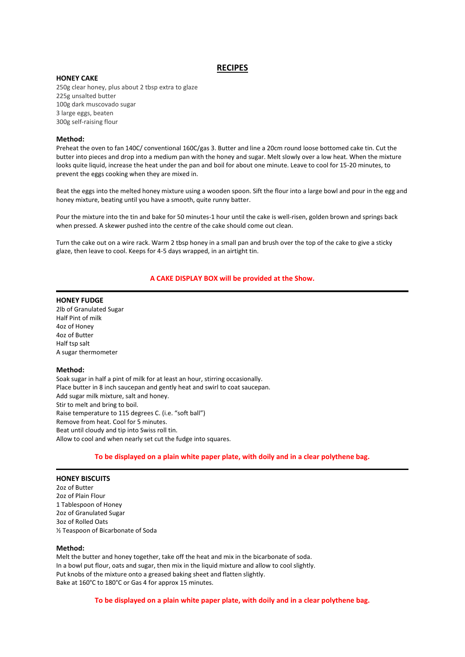## **RECIPES**

#### **HONEY CAKE**

250g clear honey, plus about 2 tbsp extra to glaze 225g unsalted butter 100g dark muscovado sugar 3 large eggs, beaten 300g self-raising flour

#### **Method:**

Preheat the oven to fan 140C/ conventional 160C/gas 3. Butter and line a 20cm round loose bottomed cake tin. Cut the butter into pieces and drop into a medium pan with the honey and sugar. Melt slowly over a low heat. When the mixture looks quite liquid, increase the heat under the pan and boil for about one minute. Leave to cool for 15-20 minutes, to prevent the eggs cooking when they are mixed in.

Beat the eggs into the melted honey mixture using a wooden spoon. Sift the flour into a large bowl and pour in the egg and honey mixture, beating until you have a smooth, quite runny batter.

Pour the mixture into the tin and bake for 50 minutes-1 hour until the cake is well-risen, golden brown and springs back when pressed. A skewer pushed into the centre of the cake should come out clean.

Turn the cake out on a wire rack. Warm 2 tbsp honey in a small pan and brush over the top of the cake to give a sticky glaze, then leave to cool. Keeps for 4-5 days wrapped, in an airtight tin.

### **A CAKE DISPLAY BOX will be provided at the Show.**

#### **HONEY FUDGE**

2lb of Granulated Sugar Half Pint of milk 4oz of Honey 4oz of Butter Half tsp salt A sugar thermometer

#### **Method:**

Soak sugar in half a pint of milk for at least an hour, stirring occasionally. Place butter in 8 inch saucepan and gently heat and swirl to coat saucepan. Add sugar milk mixture, salt and honey. Stir to melt and bring to boil. Raise temperature to 115 degrees C. (i.e. "soft ball") Remove from heat. Cool for 5 minutes. Beat until cloudy and tip into Swiss roll tin. Allow to cool and when nearly set cut the fudge into squares.

### **To be displayed on a plain white paper plate, with doily and in a clear polythene bag.**

#### **HONEY BISCUITS**

2oz of Butter 2oz of Plain Flour 1 Tablespoon of Honey 2oz of Granulated Sugar 3oz of Rolled Oats ½ Teaspoon of Bicarbonate of Soda

#### **Method:**

Melt the butter and honey together, take off the heat and mix in the bicarbonate of soda. In a bowl put flour, oats and sugar, then mix in the liquid mixture and allow to cool slightly. Put knobs of the mixture onto a greased baking sheet and flatten slightly. Bake at 160°C to 180°C or Gas 4 for approx 15 minutes.

**To be displayed on a plain white paper plate, with doily and in a clear polythene bag.**